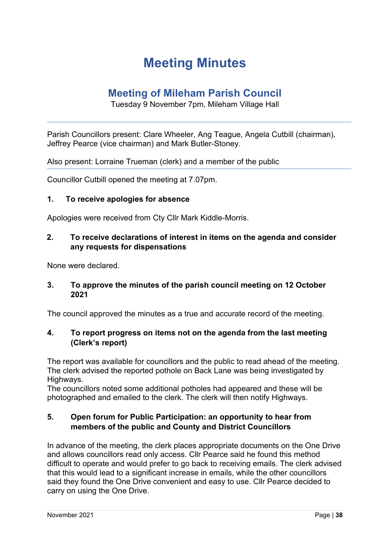## **Meeting Minutes**

### **Meeting of Mileham Parish Council**

Tuesday 9 November 7pm, Mileham Village Hall

Parish Councillors present: Clare Wheeler, Ang Teague, Angela Cutbill (chairman), Jeffrey Pearce (vice chairman) and Mark Butler-Stoney.

Also present: Lorraine Trueman (clerk) and a member of the public

Councillor Cutbill opened the meeting at 7.07pm.

#### **1. To receive apologies for absence**

Apologies were received from Cty Cllr Mark Kiddle-Morris.

#### **2. To receive declarations of interest in items on the agenda and consider any requests for dispensations**

None were declared.

#### **3. To approve the minutes of the parish council meeting on 12 October 2021**

The council approved the minutes as a true and accurate record of the meeting.

#### **4. To report progress on items not on the agenda from the last meeting (Clerk's report)**

The report was available for councillors and the public to read ahead of the meeting. The clerk advised the reported pothole on Back Lane was being investigated by Highways.

The councillors noted some additional potholes had appeared and these will be photographed and emailed to the clerk. The clerk will then notify Highways.

#### **5. Open forum for Public Participation: an opportunity to hear from members of the public and County and District Councillors**

In advance of the meeting, the clerk places appropriate documents on the One Drive and allows councillors read only access. Cllr Pearce said he found this method difficult to operate and would prefer to go back to receiving emails. The clerk advised that this would lead to a significant increase in emails, while the other councillors said they found the One Drive convenient and easy to use. Cllr Pearce decided to carry on using the One Drive.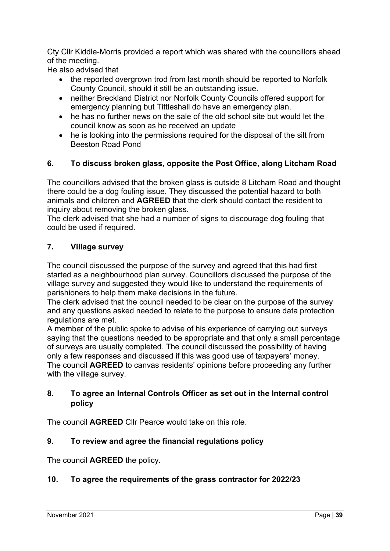Cty Cllr Kiddle-Morris provided a report which was shared with the councillors ahead of the meeting.

He also advised that

- the reported overgrown trod from last month should be reported to Norfolk County Council, should it still be an outstanding issue.
- neither Breckland District nor Norfolk County Councils offered support for emergency planning but Tittleshall do have an emergency plan.
- he has no further news on the sale of the old school site but would let the council know as soon as he received an update
- he is looking into the permissions required for the disposal of the silt from Beeston Road Pond

#### **6. To discuss broken glass, opposite the Post Office, along Litcham Road**

The councillors advised that the broken glass is outside 8 Litcham Road and thought there could be a dog fouling issue. They discussed the potential hazard to both animals and children and **AGREED** that the clerk should contact the resident to inquiry about removing the broken glass.

The clerk advised that she had a number of signs to discourage dog fouling that could be used if required.

#### **7. Village survey**

The council discussed the purpose of the survey and agreed that this had first started as a neighbourhood plan survey. Councillors discussed the purpose of the village survey and suggested they would like to understand the requirements of parishioners to help them make decisions in the future.

The clerk advised that the council needed to be clear on the purpose of the survey and any questions asked needed to relate to the purpose to ensure data protection regulations are met.

A member of the public spoke to advise of his experience of carrying out surveys saying that the questions needed to be appropriate and that only a small percentage of surveys are usually completed. The council discussed the possibility of having only a few responses and discussed if this was good use of taxpayers' money. The council **AGREED** to canvas residents' opinions before proceeding any further with the village survey.

#### **8. To agree an Internal Controls Officer as set out in the Internal control policy**

The council **AGREED** Cllr Pearce would take on this role.

#### **9. To review and agree the financial regulations policy**

The council **AGREED** the policy.

#### **10. To agree the requirements of the grass contractor for 2022/23**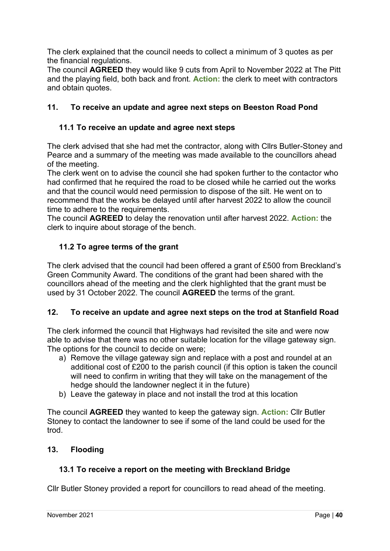The clerk explained that the council needs to collect a minimum of 3 quotes as per the financial regulations.

The council **AGREED** they would like 9 cuts from April to November 2022 at The Pitt and the playing field, both back and front. **Action:** the clerk to meet with contractors and obtain quotes.

#### **11. To receive an update and agree next steps on Beeston Road Pond**

#### **11.1 To receive an update and agree next steps**

The clerk advised that she had met the contractor, along with Cllrs Butler-Stoney and Pearce and a summary of the meeting was made available to the councillors ahead of the meeting.

The clerk went on to advise the council she had spoken further to the contactor who had confirmed that he required the road to be closed while he carried out the works and that the council would need permission to dispose of the silt. He went on to recommend that the works be delayed until after harvest 2022 to allow the council time to adhere to the requirements.

The council **AGREED** to delay the renovation until after harvest 2022. **Action:** the clerk to inquire about storage of the bench.

#### **11.2 To agree terms of the grant**

The clerk advised that the council had been offered a grant of £500 from Breckland's Green Community Award. The conditions of the grant had been shared with the councillors ahead of the meeting and the clerk highlighted that the grant must be used by 31 October 2022. The council **AGREED** the terms of the grant.

#### **12. To receive an update and agree next steps on the trod at Stanfield Road**

The clerk informed the council that Highways had revisited the site and were now able to advise that there was no other suitable location for the village gateway sign. The options for the council to decide on were;

- a) Remove the village gateway sign and replace with a post and roundel at an additional cost of £200 to the parish council (if this option is taken the council will need to confirm in writing that they will take on the management of the hedge should the landowner neglect it in the future)
- b) Leave the gateway in place and not install the trod at this location

The council **AGREED** they wanted to keep the gateway sign. **Action:** Cllr Butler Stoney to contact the landowner to see if some of the land could be used for the trod.

#### **13. Flooding**

#### **13.1 To receive a report on the meeting with Breckland Bridge**

Cllr Butler Stoney provided a report for councillors to read ahead of the meeting.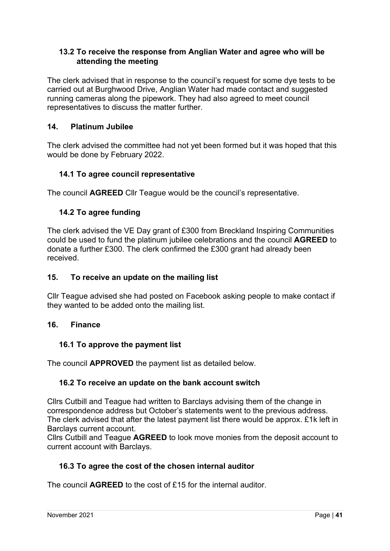#### **13.2 To receive the response from Anglian Water and agree who will be attending the meeting**

The clerk advised that in response to the council's request for some dye tests to be carried out at Burghwood Drive, Anglian Water had made contact and suggested running cameras along the pipework. They had also agreed to meet council representatives to discuss the matter further.

#### **14. Platinum Jubilee**

The clerk advised the committee had not yet been formed but it was hoped that this would be done by February 2022.

#### **14.1 To agree council representative**

The council **AGREED** Cllr Teague would be the council's representative.

#### **14.2 To agree funding**

The clerk advised the VE Day grant of £300 from Breckland Inspiring Communities could be used to fund the platinum jubilee celebrations and the council **AGREED** to donate a further £300. The clerk confirmed the £300 grant had already been received.

#### **15. To receive an update on the mailing list**

Cllr Teague advised she had posted on Facebook asking people to make contact if they wanted to be added onto the mailing list.

#### **16. Finance**

#### **16.1 To approve the payment list**

The council **APPROVED** the payment list as detailed below.

#### **16.2 To receive an update on the bank account switch**

Cllrs Cutbill and Teague had written to Barclays advising them of the change in correspondence address but October's statements went to the previous address. The clerk advised that after the latest payment list there would be approx. £1k left in Barclays current account.

Cllrs Cutbill and Teague **AGREED** to look move monies from the deposit account to current account with Barclays.

#### **16.3 To agree the cost of the chosen internal auditor**

The council **AGREED** to the cost of £15 for the internal auditor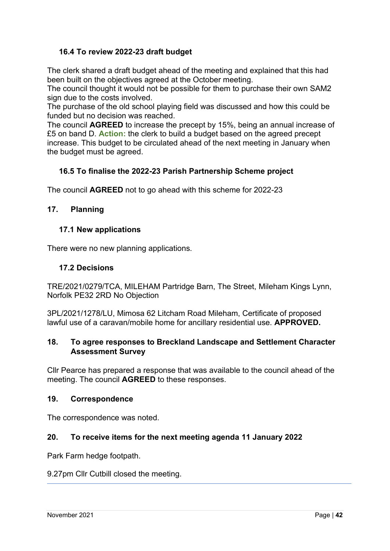#### **16.4 To review 2022-23 draft budget**

The clerk shared a draft budget ahead of the meeting and explained that this had been built on the objectives agreed at the October meeting.

The council thought it would not be possible for them to purchase their own SAM2 sign due to the costs involved.

The purchase of the old school playing field was discussed and how this could be funded but no decision was reached.

The council **AGREED** to increase the precept by 15%, being an annual increase of £5 on band D. **Action:** the clerk to build a budget based on the agreed precept increase. This budget to be circulated ahead of the next meeting in January when the budget must be agreed.

#### **16.5 To finalise the 2022-23 Parish Partnership Scheme project**

The council **AGREED** not to go ahead with this scheme for 2022-23

#### **17. Planning**

#### **17.1 New applications**

There were no new planning applications.

#### **17.2 Decisions**

TRE/2021/0279/TCA, MILEHAM Partridge Barn, The Street, Mileham Kings Lynn, Norfolk PE32 2RD No Objection

3PL/2021/1278/LU, Mimosa 62 Litcham Road Mileham, Certificate of proposed lawful use of a caravan/mobile home for ancillary residential use. **APPROVED.**

#### **18. To agree responses to Breckland Landscape and Settlement Character Assessment Survey**

Cllr Pearce has prepared a response that was available to the council ahead of the meeting. The council **AGREED** to these responses.

#### **19. Correspondence**

The correspondence was noted.

#### **20. To receive items for the next meeting agenda 11 January 2022**

Park Farm hedge footpath.

#### 9.27pm Cllr Cutbill closed the meeting.